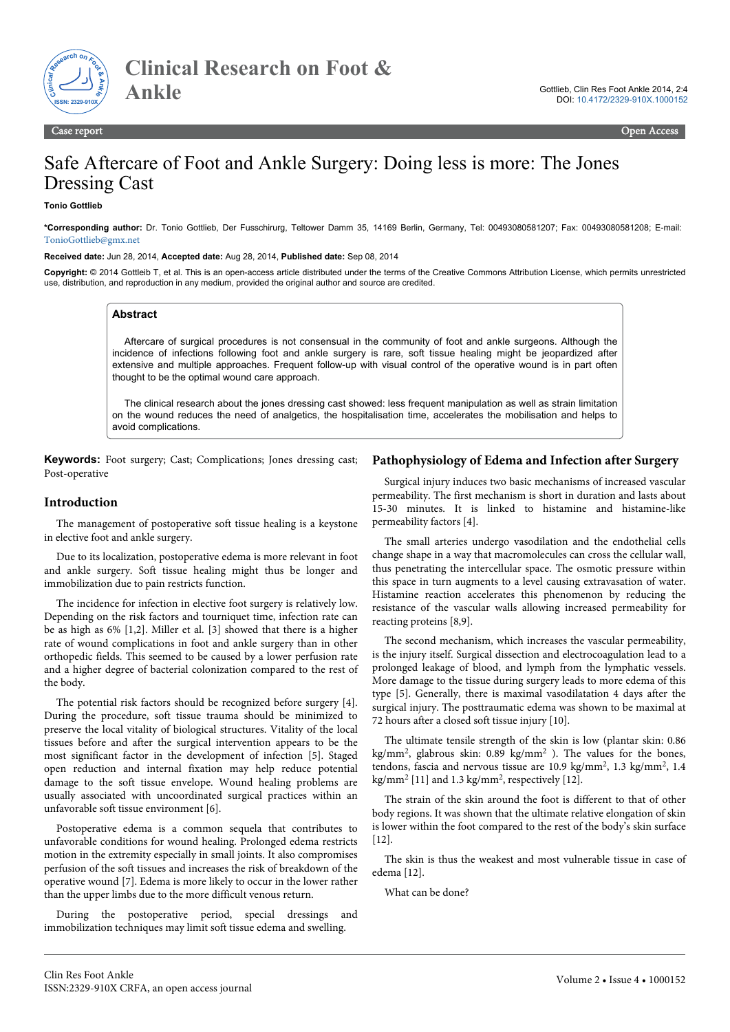

# Safe Aftercare of Foot and Ankle Surgery: Doing less is more: The Jones Dressing Cast

**Tonio Gottlieb**

**\*Corresponding author:** Dr. Tonio Gottlieb, Der Fusschirurg, Teltower Damm 35, 14169 Berlin, Germany, Tel: 00493080581207; Fax: 00493080581208; E-mail: [TonioGottlieb@gmx.net](mailto:TonioGottlieb@gmx.net)

**Received date:** Jun 28, 2014, **Accepted date:** Aug 28, 2014, **Published date:** Sep 08, 2014

**Copyright:** © 2014 Gottleib T, et al. This is an open-access article distributed under the terms of the Creative Commons Attribution License, which permits unrestricted use, distribution, and reproduction in any medium, provided the original author and source are credited.

## **Abstract**

Aftercare of surgical procedures is not consensual in the community of foot and ankle surgeons. Although the incidence of infections following foot and ankle surgery is rare, soft tissue healing might be jeopardized after extensive and multiple approaches. Frequent follow-up with visual control of the operative wound is in part often thought to be the optimal wound care approach.

The clinical research about the jones dressing cast showed: less frequent manipulation as well as strain limitation on the wound reduces the need of analgetics, the hospitalisation time, accelerates the mobilisation and helps to avoid complications.

**Keywords:** Foot surgery; Cast; Complications; Jones dressing cast; Post-operative

## **Introduction**

The management of postoperative soft tissue healing is a keystone in elective foot and ankle surgery.

Due to its localization, postoperative edema is more relevant in foot and ankle surgery. Soft tissue healing might thus be longer and immobilization due to pain restricts function.

The incidence for infection in elective foot surgery is relatively low. Depending on the risk factors and tourniquet time, infection rate can be as high as 6% [1,2]. Miller et al. [3] showed that there is a higher rate of wound complications in foot and ankle surgery than in other orthopedic fields. This seemed to be caused by a lower perfusion rate and a higher degree of bacterial colonization compared to the rest of the body.

The potential risk factors should be recognized before surgery [4]. During the procedure, soft tissue trauma should be minimized to preserve the local vitality of biological structures. Vitality of the local tissues before and after the surgical intervention appears to be the most significant factor in the development of infection [5]. Staged open reduction and internal fixation may help reduce potential damage to the soft tissue envelope. Wound healing problems are usually associated with uncoordinated surgical practices within an unfavorable soft tissue environment [6].

Postoperative edema is a common sequela that contributes to unfavorable conditions for wound healing. Prolonged edema restricts motion in the extremity especially in small joints. It also compromises perfusion of the soft tissues and increases the risk of breakdown of the operative wound [7]. Edema is more likely to occur in the lower rather than the upper limbs due to the more difficult venous return.

During the postoperative period, special dressings and immobilization techniques may limit soft tissue edema and swelling.

#### **Pathophysiology of Edema and Infection after Surgery**

Surgical injury induces two basic mechanisms of increased vascular permeability. The first mechanism is short in duration and lasts about 15-30 minutes. It is linked to histamine and histamine-like permeability factors [4].

The small arteries undergo vasodilation and the endothelial cells change shape in a way that macromolecules can cross the cellular wall, thus penetrating the intercellular space. The osmotic pressure within this space in turn augments to a level causing extravasation of water. Histamine reaction accelerates this phenomenon by reducing the resistance of the vascular walls allowing increased permeability for reacting proteins [8,9].

The second mechanism, which increases the vascular permeability, is the injury itself. Surgical dissection and electrocoagulation lead to a prolonged leakage of blood, and lymph from the lymphatic vessels. More damage to the tissue during surgery leads to more edema of this type [5]. Generally, there is maximal vasodilatation 4 days after the surgical injury. The posttraumatic edema was shown to be maximal at 72 hours after a closed soft tissue injury [10].

The ultimate tensile strength of the skin is low (plantar skin: 0.86 kg/mm<sup>2</sup>, glabrous skin: 0.89 kg/mm<sup>2</sup>). The values for the bones, tendons, fascia and nervous tissue are 10.9 kg/mm<sup>2</sup>, 1.3 kg/mm<sup>2</sup>, 1.4 kg/mm<sup>2</sup> [11] and 1.3 kg/mm<sup>2</sup> , respectively [12].

The strain of the skin around the foot is different to that of other body regions. It was shown that the ultimate relative elongation of skin is lower within the foot compared to the rest of the body's skin surface [12].

The skin is thus the weakest and most vulnerable tissue in case of edema [12].

What can be done?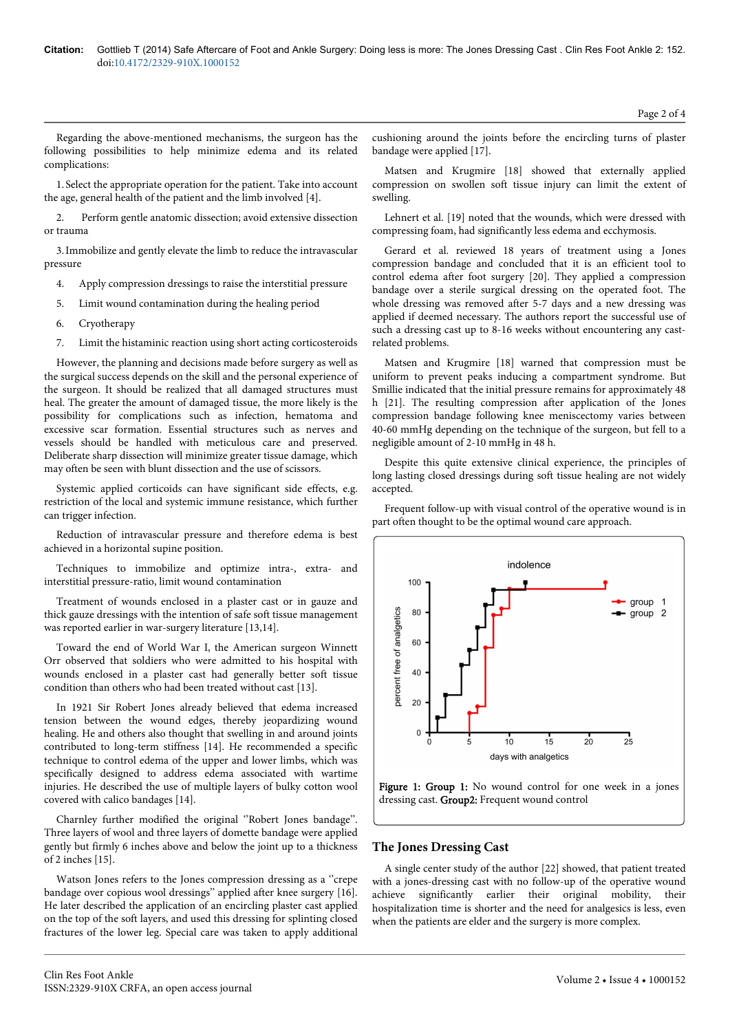Regarding the above-mentioned mechanisms, the surgeon has the following possibilities to help minimize edema and its related complications:

1. Select the appropriate operation for the patient. Take into account the age, general health of the patient and the limb involved [4].

2. Perform gentle anatomic dissection; avoid extensive dissection or trauma

3.Immobilize and gently elevate the limb to reduce the intravascular pressure

- 4. Apply compression dressings to raise the interstitial pressure
- 5. Limit wound contamination during the healing period
- 6. Cryotherapy
- 7. Limit the histaminic reaction using short acting corticosteroids

However, the planning and decisions made before surgery as well as the surgical success depends on the skill and the personal experience of the surgeon. It should be realized that all damaged structures must heal. The greater the amount of damaged tissue, the more likely is the possibility for complications such as infection, hematoma and excessive scar formation. Essential structures such as nerves and vessels should be handled with meticulous care and preserved. Deliberate sharp dissection will minimize greater tissue damage, which may often be seen with blunt dissection and the use of scissors.

Systemic applied corticoids can have significant side effects, e.g. restriction of the local and systemic immune resistance, which further can trigger infection.

Reduction of intravascular pressure and therefore edema is best achieved in a horizontal supine position.

Techniques to immobilize and optimize intra-, extra- and interstitial pressure-ratio, limit wound contamination

Treatment of wounds enclosed in a plaster cast or in gauze and thick gauze dressings with the intention of safe soft tissue management was reported earlier in war-surgery literature [13,14].

Toward the end of World War I, the American surgeon Winnett Orr observed that soldiers who were admitted to his hospital with wounds enclosed in a plaster cast had generally better soft tissue condition than others who had been treated without cast [13].

In 1921 Sir Robert Jones already believed that edema increased tension between the wound edges, thereby jeopardizing wound healing. He and others also thought that swelling in and around joints contributed to long-term stiffness [14]. He recommended a specific technique to control edema of the upper and lower limbs, which was specifically designed to address edema associated with wartime injuries. He described the use of multiple layers of bulky cotton wool covered with calico bandages [14].

Charnley further modified the original ''Robert Jones bandage''. Three layers of wool and three layers of domette bandage were applied gently but firmly 6 inches above and below the joint up to a thickness of 2 inches [15].

Watson Jones refers to the Jones compression dressing as a "crepe bandage over copious wool dressings'' applied after knee surgery [16]. He later described the application of an encircling plaster cast applied on the top of the soft layers, and used this dressing for splinting closed fractures of the lower leg. Special care was taken to apply additional

Matsen and Krugmire [18] showed that externally applied compression on swollen soft tissue injury can limit the extent of swelling.

Lehnert et al. [19] noted that the wounds, which were dressed with compressing foam, had significantly less edema and ecchymosis.

Gerard et al. reviewed 18 years of treatment using a Jones compression bandage and concluded that it is an efficient tool to control edema after foot surgery [20]. They applied a compression bandage over a sterile surgical dressing on the operated foot. The whole dressing was removed after 5-7 days and a new dressing was applied if deemed necessary. The authors report the successful use of such a dressing cast up to 8-16 weeks without encountering any castrelated problems.

Matsen and Krugmire [18] warned that compression must be uniform to prevent peaks inducing a compartment syndrome. But Smillie indicated that the initial pressure remains for approximately 48 h [21]. The resulting compression after application of the Jones compression bandage following knee meniscectomy varies between 40-60 mmHg depending on the technique of the surgeon, but fell to a negligible amount of 2-10 mmHg in 48 h.

Despite this quite extensive clinical experience, the principles of long lasting closed dressings during soft tissue healing are not widely accepted.

Frequent follow-up with visual control of the operative wound is in part often thought to be the optimal wound care approach.





#### **The Jones Dressing Cast**

A single center study of the author [22] showed, that patient treated with a jones-dressing cast with no follow-up of the operative wound achieve significantly earlier their original mobility, their hospitalization time is shorter and the need for analgesics is less, even when the patients are elder and the surgery is more complex.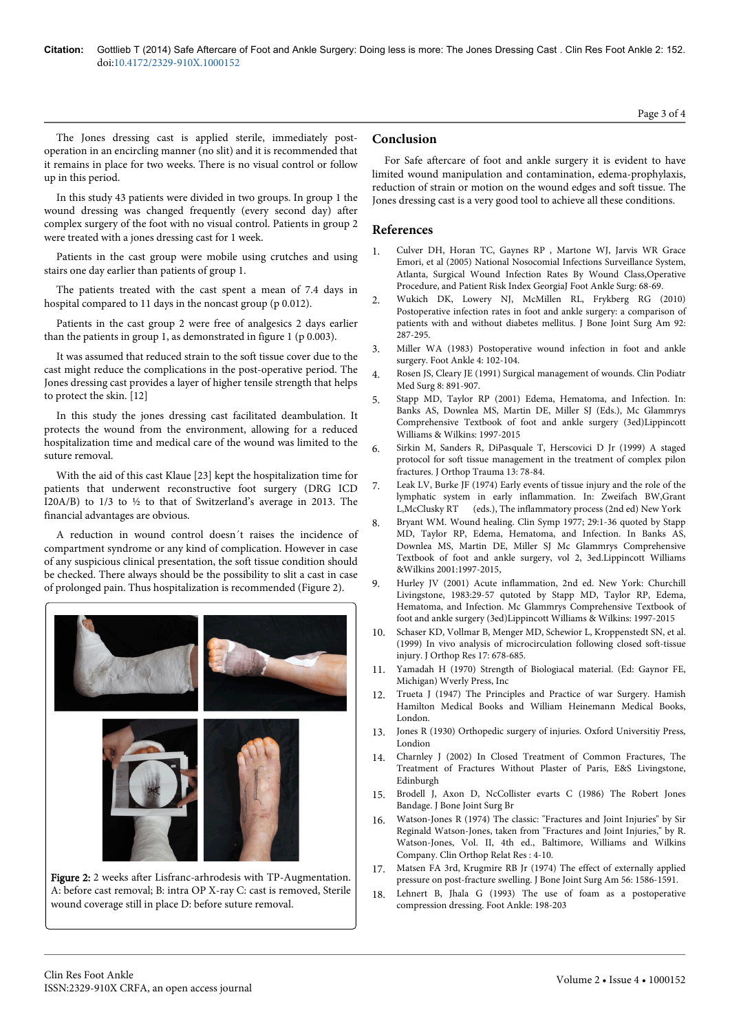The Jones dressing cast is applied sterile, immediately postoperation in an encircling manner (no slit) and it is recommended that it remains in place for two weeks. There is no visual control or follow up in this period.

In this study 43 patients were divided in two groups. In group 1 the wound dressing was changed frequently (every second day) after complex surgery of the foot with no visual control. Patients in group 2 were treated with a jones dressing cast for 1 week.

Patients in the cast group were mobile using crutches and using stairs one day earlier than patients of group 1.

The patients treated with the cast spent a mean of 7.4 days in hospital compared to 11 days in the noncast group (p 0.012).

Patients in the cast group 2 were free of analgesics 2 days earlier than the patients in group 1, as demonstrated in figure 1 (p 0.003).

It was assumed that reduced strain to the soft tissue cover due to the cast might reduce the complications in the post-operative period. The Jones dressing cast provides a layer of higher tensile strength that helps to protect the skin. [12]

In this study the jones dressing cast facilitated deambulation. It protects the wound from the environment, allowing for a reduced hospitalization time and medical care of the wound was limited to the suture removal.

With the aid of this cast Klaue [23] kept the hospitalization time for patients that underwent reconstructive foot surgery (DRG ICD I20A/B) to 1/3 to ½ to that of Switzerland's average in 2013. The financial advantages are obvious.

A reduction in wound control doesn´t raises the incidence of compartment syndrome or any kind of complication. However in case of any suspicious clinical presentation, the soft tissue condition should be checked. There always should be the possibility to slit a cast in case of prolonged pain. Thus hospitalization is recommended (Figure 2).



Figure 2: 2 weeks after Lisfranc-arhrodesis with TP-Augmentation. A: before cast removal; B: intra OP X-ray C: cast is removed, Sterile wound coverage still in place D: before suture removal.

# **Conclusion**

For Safe aftercare of foot and ankle surgery it is evident to have limited wound manipulation and contamination, edema-prophylaxis, reduction of strain or motion on the wound edges and soft tissue. The Jones dressing cast is a very good tool to achieve all these conditions.

#### **References**

- 1. [Culver DH, Horan TC, Gaynes RP , Martone WJ, Jarvis WR Grace](http://www.cdc.gov/nhsn/pdfs/datastat/nnis_2004.pdf) [Emori, et al \(2005\) National Nosocomial Infections Surveillance System,](http://www.cdc.gov/nhsn/pdfs/datastat/nnis_2004.pdf) [Atlanta, Surgical Wound Infection Rates By Wound Class,Operative](http://www.cdc.gov/nhsn/pdfs/datastat/nnis_2004.pdf) [Procedure, and Patient Risk Index GeorgiaJ Foot Ankle Surg: 68-69.](http://www.cdc.gov/nhsn/pdfs/datastat/nnis_2004.pdf)
- 2. [Wukich DK, Lowery NJ, McMillen RL, Frykberg RG \(2010\)](http://www.ncbi.nlm.nih.gov/pubmed/20124054) [Postoperative infection rates in foot and ankle surgery: a comparison of](http://www.ncbi.nlm.nih.gov/pubmed/20124054) [patients with and without diabetes mellitus. J Bone Joint Surg Am 92:](http://www.ncbi.nlm.nih.gov/pubmed/20124054) [287-295.](http://www.ncbi.nlm.nih.gov/pubmed/20124054)
- 3. [Miller WA \(1983\) Postoperative wound infection in foot and ankle](http://www.ncbi.nlm.nih.gov/pubmed/6642322) [surgery. Foot Ankle 4: 102-104.](http://www.ncbi.nlm.nih.gov/pubmed/6642322)
- 4. [Rosen JS, Cleary JE \(1991\) Surgical management of wounds. Clin Podiatr](http://www.ncbi.nlm.nih.gov/pubmed/1682028) [Med Surg 8: 891-907.](http://www.ncbi.nlm.nih.gov/pubmed/1682028)
- 5. Stapp MD, Taylor RP (2001) Edema, Hematoma, and Infection. In: Banks AS, Downlea MS, Martin DE, Miller SJ (Eds.), Mc Glammrys Comprehensive Textbook of foot and ankle surgery (3ed)Lippincott Williams & Wilkins: 1997-2015
- 6. [Sirkin M, Sanders R, DiPasquale T, Herscovici D Jr \(1999\) A staged](http://www.ncbi.nlm.nih.gov/pubmed/10052780) [protocol for soft tissue management in the treatment of complex pilon](http://www.ncbi.nlm.nih.gov/pubmed/10052780) [fractures. J Orthop Trauma 13: 78-84.](http://www.ncbi.nlm.nih.gov/pubmed/10052780)
- 7. Leak LV, Burke JF (1974) Early events of tissue injury and the role of the lymphatic system in early inflammation. In: Zweifach BW,Grant L,McClusky RT (eds.), The inflammatory process (2nd ed) New York
- 8. Bryant WM. Wound healing. Clin Symp 1977; 29:1-36 quoted by Stapp MD, Taylor RP, Edema, Hematoma, and Infection. In Banks AS, Downlea MS, Martin DE, Miller SJ Mc Glammrys Comprehensive Textbook of foot and ankle surgery, vol 2, 3ed.Lippincott Williams &Wilkins 2001:1997-2015,
- 9. Hurley JV (2001) Acute inflammation, 2nd ed. New York: Churchill Livingstone, 1983:29-57 qutoted by Stapp MD, Taylor RP, Edema, Hematoma, and Infection. Mc Glammrys Comprehensive Textbook of foot and ankle surgery (3ed)Lippincott Williams & Wilkins: 1997-2015
- 10. [Schaser KD, Vollmar B, Menger MD, Schewior L, Kroppenstedt SN, et al.](http://www.ncbi.nlm.nih.gov/pubmed/10569476) [\(1999\) In vivo analysis of microcirculation following closed soft-tissue](http://www.ncbi.nlm.nih.gov/pubmed/10569476) [injury. J Orthop Res 17: 678-685.](http://www.ncbi.nlm.nih.gov/pubmed/10569476)
- 11. [Yamadah H \(1970\) Strength of Biologiacal material. \(Ed: Gaynor FE,](http://books.google.co.in/books?id=H89qAAAAMAAJ&q=Strength+of+Biological+material&dq=Strength+of+Biological+material&hl=en&sa=X&ei=vwoEVOqJOYWxuATSmICwAQ&ved=0CBsQ6AEwAA) [Michigan\) Wverly Press, Inc](http://books.google.co.in/books?id=H89qAAAAMAAJ&q=Strength+of+Biological+material&dq=Strength+of+Biological+material&hl=en&sa=X&ei=vwoEVOqJOYWxuATSmICwAQ&ved=0CBsQ6AEwAA)
- 12. Trueta J (1947) The Principles and Practice of war Surgery. Hamish Hamilton Medical Books and William Heinemann Medical Books, London.
- 13. Jones R (1930) Orthopedic surgery of injuries. Oxford Universitiy Press, Londion
- 14. [Charnley J \(2002\) In Closed Treatment of Common Fractures, The](http://books.google.co.in/books?id=HTiqWb530MYC&pg=PA80&dq=The+Treatment+of+Fractures+Without+Plaster+of+Paris&hl=en&sa=X&ei=wQwEVLO9HMGeugTo1QE&ved=0CBsQ6AEwAA) [Treatment of Fractures Without Plaster of Paris, E&S Livingstone,](http://books.google.co.in/books?id=HTiqWb530MYC&pg=PA80&dq=The+Treatment+of+Fractures+Without+Plaster+of+Paris&hl=en&sa=X&ei=wQwEVLO9HMGeugTo1QE&ved=0CBsQ6AEwAA) [Edinburgh](http://books.google.co.in/books?id=HTiqWb530MYC&pg=PA80&dq=The+Treatment+of+Fractures+Without+Plaster+of+Paris&hl=en&sa=X&ei=wQwEVLO9HMGeugTo1QE&ved=0CBsQ6AEwAA)
- 15. [Brodell J, Axon D, NcCollister evarts C \(1986\) The Robert Jones](http://www.boneandjoint.org.uk/highwire/filestream/13508/field_highwire_article_pdf/0/776.full.pdf&sa=U&ei=U0VhU9ySDIXEsgaLk4Aw&ved=0CE0QFjAJ&usg=AFQjCNGOD1e8A0nuCoeFM0S9M2Utyz1KXw) [Bandage. J Bone Joint Surg Br](http://www.boneandjoint.org.uk/highwire/filestream/13508/field_highwire_article_pdf/0/776.full.pdf&sa=U&ei=U0VhU9ySDIXEsgaLk4Aw&ved=0CE0QFjAJ&usg=AFQjCNGOD1e8A0nuCoeFM0S9M2Utyz1KXw)
- 16. [Watson-Jones R \(1974\) The classic: "Fractures and Joint Injuries" by Sir](http://www.ncbi.nlm.nih.gov/pubmed/4609656) [Reginald Watson-Jones, taken from "Fractures and Joint Injuries," by R.](http://www.ncbi.nlm.nih.gov/pubmed/4609656) [Watson-Jones, Vol. II, 4th ed., Baltimore, Williams and Wilkins](http://www.ncbi.nlm.nih.gov/pubmed/4609656) [Company. Clin Orthop Relat Res : 4-10.](http://www.ncbi.nlm.nih.gov/pubmed/4609656)
- 17. [Matsen FA 3rd, Krugmire RB Jr \(1974\) The effect of externally applied](http://www.ncbi.nlm.nih.gov/pubmed/4434026) [pressure on post-fracture swelling. J Bone Joint Surg Am 56: 1586-1591.](http://www.ncbi.nlm.nih.gov/pubmed/4434026)
- 18. [Lehnert B, Jhala G \(1993\) The use of foam as a postoperative](http://www.ncbi.nlm.nih.gov/pubmed/15704087) [compression dressing. Foot Ankle: 198-203](http://www.ncbi.nlm.nih.gov/pubmed/15704087)